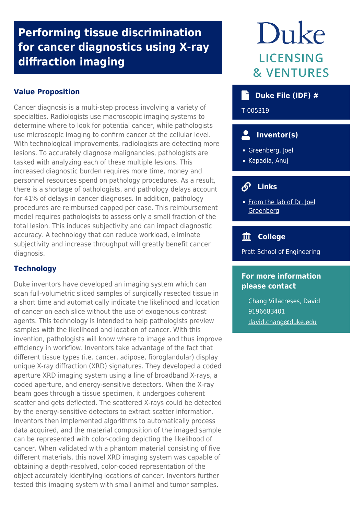## **Performing tissue discrimination for cancer diagnostics using X-ray diffraction imaging**

## **Value Proposition**

Cancer diagnosis is a multi-step process involving a variety of specialties. Radiologists use macroscopic imaging systems to determine where to look for potential cancer, while pathologists use microscopic imaging to confirm cancer at the cellular level. With technological improvements, radiologists are detecting more lesions. To accurately diagnose malignancies, pathologists are tasked with analyzing each of these multiple lesions. This increased diagnostic burden requires more time, money and personnel resources spend on pathology procedures. As a result, there is a shortage of pathologists, and pathology delays account for 41% of delays in cancer diagnoses. In addition, pathology procedures are reimbursed capped per case. This reimbursement model requires pathologists to assess only a small fraction of the total lesion. This induces subjectivity and can impact diagnostic accuracy. A technology that can reduce workload, eliminate subjectivity and increase throughput will greatly benefit cancer diagnosis.

## **Technology**

Duke inventors have developed an imaging system which can scan full-volumetric sliced samples of surgically resected tissue in a short time and automatically indicate the likelihood and location of cancer on each slice without the use of exogenous contrast agents. This technology is intended to help pathologists preview samples with the likelihood and location of cancer. With this invention, pathologists will know where to image and thus improve efficiency in workflow. Inventors take advantage of the fact that different tissue types (i.e. cancer, adipose, fibroglandular) display unique X-ray diffraction (XRD) signatures. They developed a coded aperture XRD imaging system using a line of broadband X-rays, a coded aperture, and energy-sensitive detectors. When the X-ray beam goes through a tissue specimen, it undergoes coherent scatter and gets deflected. The scattered X-rays could be detected by the energy-sensitive detectors to extract scatter information. Inventors then implemented algorithms to automatically process data acquired, and the material composition of the imaged sample can be represented with color-coding depicting the likelihood of cancer. When validated with a phantom material consisting of five different materials, this novel XRD imaging system was capable of obtaining a depth-resolved, color-coded representation of the object accurately identifying locations of cancer. Inventors further tested this imaging system with small animal and tumor samples.

# Duke LICENSING **& VENTURES**

## **Duke File (IDF) #**

T-005319

## **Inventor(s)**

- Greenberg, Joel
- Kapadia, Anuj

#### $\mathcal{S}$  **Links**

• [From the lab of Dr. Joel](http://people.duke.edu/~jag27/index.html) **[Greenberg](http://people.duke.edu/~jag27/index.html)** 

## **College**

Pratt School of Engineering

## **For more information please contact**

Chang Villacreses, David 9196683401 [david.chang@duke.edu](mailto:david.chang@duke.edu)